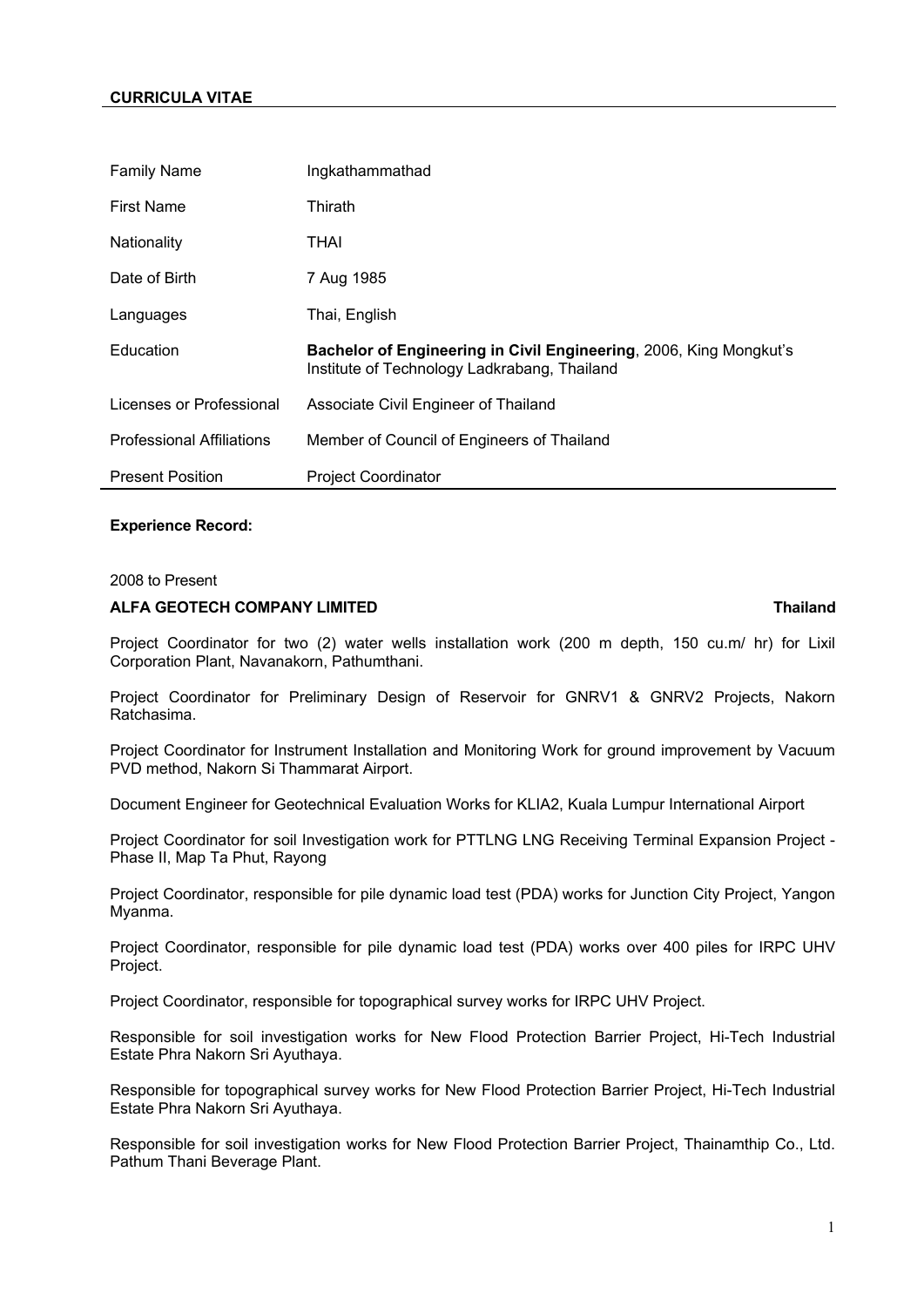# **CURRICULA VITAE**

| <b>Family Name</b>               | Ingkathammathad                                                                                                    |
|----------------------------------|--------------------------------------------------------------------------------------------------------------------|
| <b>First Name</b>                | Thirath                                                                                                            |
| Nationality                      | THAI                                                                                                               |
| Date of Birth                    | 7 Aug 1985                                                                                                         |
| Languages                        | Thai, English                                                                                                      |
| Education                        | Bachelor of Engineering in Civil Engineering, 2006, King Mongkut's<br>Institute of Technology Ladkrabang, Thailand |
| Licenses or Professional         | Associate Civil Engineer of Thailand                                                                               |
| <b>Professional Affiliations</b> | Member of Council of Engineers of Thailand                                                                         |
| <b>Present Position</b>          | <b>Project Coordinator</b>                                                                                         |

## **Experience Record:**

### 2008 to Present

## **ALFA GEOTECH COMPANY LIMITED Thailand**

Project Coordinator for two (2) water wells installation work (200 m depth, 150 cu.m/ hr) for Lixil Corporation Plant, Navanakorn, Pathumthani.

Project Coordinator for Preliminary Design of Reservoir for GNRV1 & GNRV2 Projects, Nakorn Ratchasima.

Project Coordinator for Instrument Installation and Monitoring Work for ground improvement by Vacuum PVD method, Nakorn Si Thammarat Airport.

Document Engineer for Geotechnical Evaluation Works for KLIA2, Kuala Lumpur International Airport

Project Coordinator for soil Investigation work for PTTLNG LNG Receiving Terminal Expansion Project - Phase II, Map Ta Phut, Rayong

Project Coordinator, responsible for pile dynamic load test (PDA) works for Junction City Project, Yangon Myanma.

Project Coordinator, responsible for pile dynamic load test (PDA) works over 400 piles for IRPC UHV Project.

Project Coordinator, responsible for topographical survey works for IRPC UHV Project.

Responsible for soil investigation works for New Flood Protection Barrier Project, Hi-Tech Industrial Estate Phra Nakorn Sri Ayuthaya.

Responsible for topographical survey works for New Flood Protection Barrier Project, Hi-Tech Industrial Estate Phra Nakorn Sri Ayuthaya.

Responsible for soil investigation works for New Flood Protection Barrier Project, Thainamthip Co., Ltd. Pathum Thani Beverage Plant.